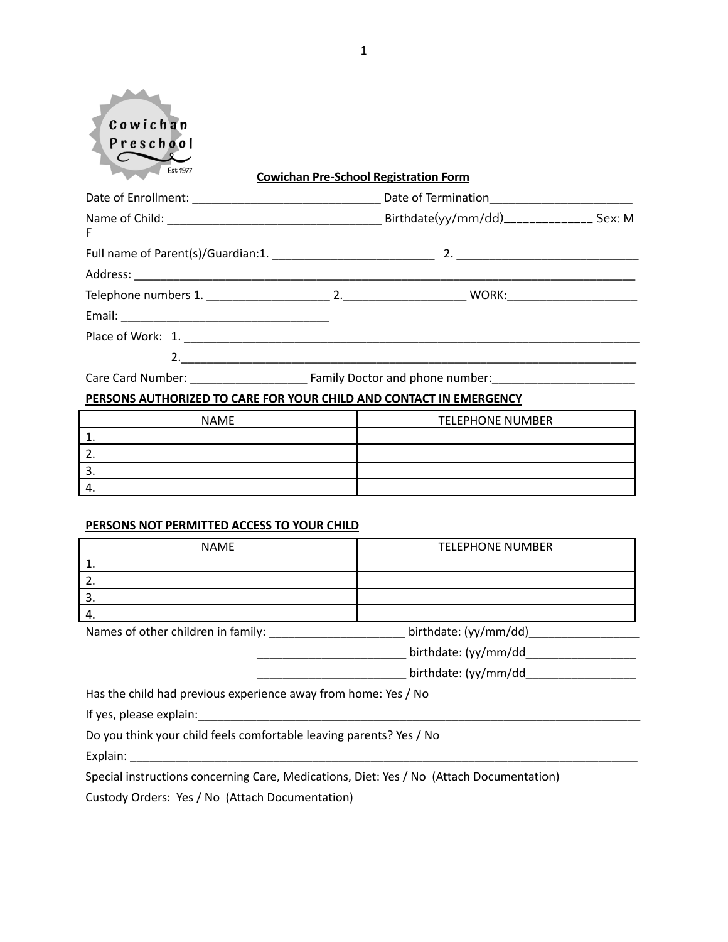| Cowichan<br>Preschool<br>Est 1977 | <b>Cowichan Pre-School Registration Form</b> |  |
|-----------------------------------|----------------------------------------------|--|
|                                   |                                              |  |
| F                                 |                                              |  |
|                                   |                                              |  |
|                                   |                                              |  |
|                                   |                                              |  |
|                                   |                                              |  |
|                                   |                                              |  |
|                                   |                                              |  |
|                                   |                                              |  |

## **PERSONS AUTHORIZED TO CARE FOR YOUR CHILD AND CONTACT IN EMERGENCY**

| <b>NAME</b> | <b>TELEPHONE NUMBER</b> |
|-------------|-------------------------|
|             |                         |
|             |                         |
|             |                         |
|             |                         |

### **PERSONS NOT PERMITTED ACCESS TO YOUR CHILD**

| <b>NAME</b>                                                         | <b>TELEPHONE NUMBER</b> |  |
|---------------------------------------------------------------------|-------------------------|--|
| 1.                                                                  |                         |  |
| 2.                                                                  |                         |  |
| 3.                                                                  |                         |  |
| 4.                                                                  |                         |  |
| Names of other children in family:                                  | birthdate: (yy/mm/dd)   |  |
|                                                                     | birthdate: (yy/mm/dd    |  |
|                                                                     | birthdate: (yy/mm/dd    |  |
| Has the child had previous experience away from home: Yes / No      |                         |  |
| If yes, please explain:                                             |                         |  |
| Do you think your child feels comfortable leaving parents? Yes / No |                         |  |
| Explain:                                                            |                         |  |

Special instructions concerning Care, Medications, Diet: Yes / No (Attach Documentation)

Custody Orders: Yes / No (Attach Documentation)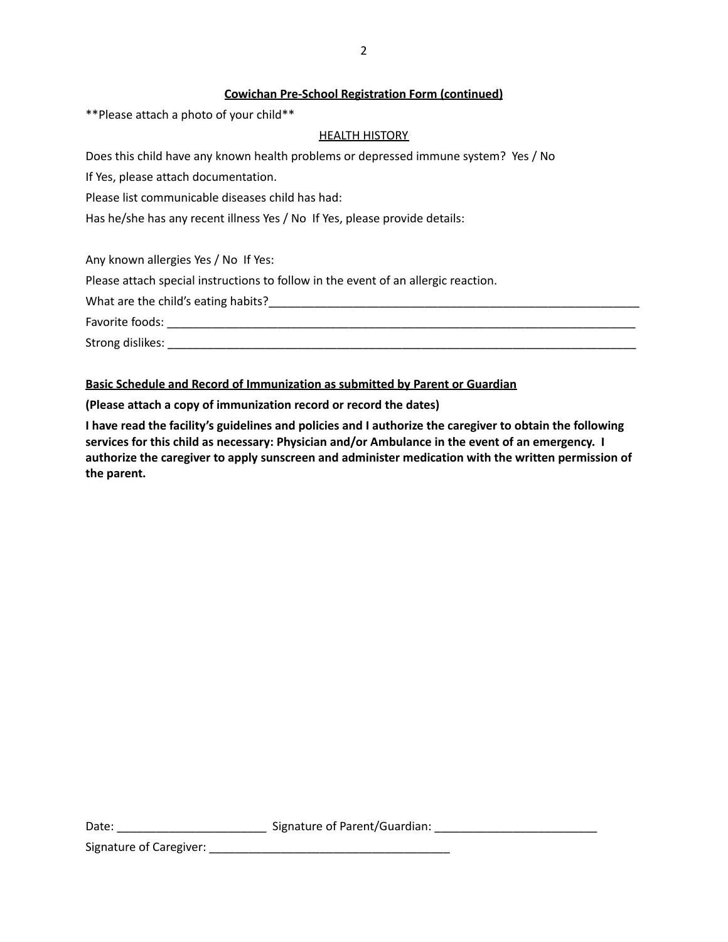### **Cowichan Pre-School Registration Form (continued)**

\*\*Please attach a photo of your child\*\*

### **HEALTH HISTORY**

Does this child have any known health problems or depressed immune system? Yes / No

If Yes, please attach documentation.

Please list communicable diseases child has had:

Has he/she has any recent illness Yes / No If Yes, please provide details:

Any known allergies Yes / No If Yes:

Please attach special instructions to follow in the event of an allergic reaction.

What are the child's eating habits?\_\_\_\_\_\_\_\_\_\_\_\_\_\_\_\_\_\_\_\_\_\_\_\_\_\_\_\_\_\_\_\_\_\_\_\_\_\_\_\_\_\_\_\_\_\_\_\_\_\_\_\_\_\_\_\_\_

Favorite foods: **Example 2018** 

Strong dislikes: \_\_\_\_\_\_\_\_\_\_\_\_\_\_\_\_\_\_\_\_\_\_\_\_\_\_\_\_\_\_\_\_\_\_\_\_\_\_\_\_\_\_\_\_\_\_\_\_\_\_\_\_\_\_\_\_\_\_\_\_\_\_\_\_\_\_\_\_\_\_\_\_

### **Basic Schedule and Record of Immunization as submitted by Parent or Guardian**

**(Please attach a copy of immunization record or record the dates)**

**I have read the facility's guidelines and policies and I authorize the caregiver to obtain the following services for this child as necessary: Physician and/or Ambulance in the event of an emergency. I authorize the caregiver to apply sunscreen and administer medication with the written permission of the parent.**

Date: \_\_\_\_\_\_\_\_\_\_\_\_\_\_\_\_\_\_\_\_\_\_\_\_\_\_\_\_\_\_\_\_\_\_\_Signature of Parent/Guardian: \_\_\_\_\_\_\_\_\_

Signature of Caregiver: \_\_\_\_\_\_\_\_\_\_\_\_\_\_\_\_\_\_\_\_\_\_\_\_\_\_\_\_\_\_\_\_\_\_\_\_\_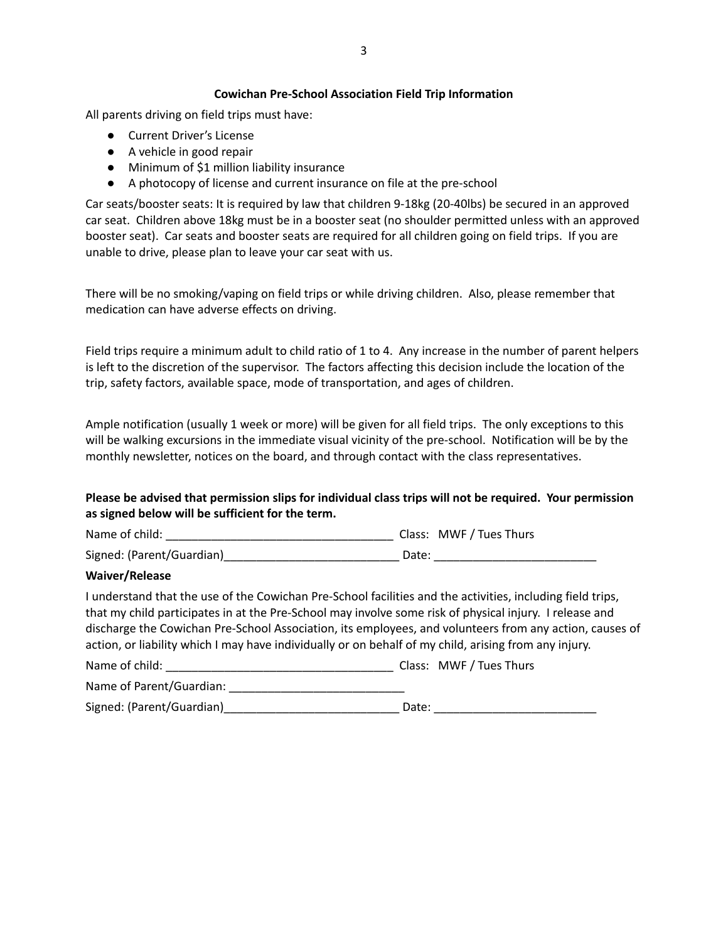### **Cowichan Pre-School Association Field Trip Information**

All parents driving on field trips must have:

- Current Driver's License
- A vehicle in good repair
- Minimum of \$1 million liability insurance
- A photocopy of license and current insurance on file at the pre-school

Car seats/booster seats: It is required by law that children 9-18kg (20-40lbs) be secured in an approved car seat. Children above 18kg must be in a booster seat (no shoulder permitted unless with an approved booster seat). Car seats and booster seats are required for all children going on field trips. If you are unable to drive, please plan to leave your car seat with us.

There will be no smoking/vaping on field trips or while driving children. Also, please remember that medication can have adverse effects on driving.

Field trips require a minimum adult to child ratio of 1 to 4. Any increase in the number of parent helpers is left to the discretion of the supervisor. The factors affecting this decision include the location of the trip, safety factors, available space, mode of transportation, and ages of children.

Ample notification (usually 1 week or more) will be given for all field trips. The only exceptions to this will be walking excursions in the immediate visual vicinity of the pre-school. Notification will be by the monthly newsletter, notices on the board, and through contact with the class representatives.

# **Please be advised that permission slips for individual class trips will not be required. Your permission as signed below will be sufficient for the term.**

| Name of child:            | Class: MWF / Tues Thurs |
|---------------------------|-------------------------|
| Signed: (Parent/Guardian) | Date:                   |

#### **Waiver/Release**

I understand that the use of the Cowichan Pre-School facilities and the activities, including field trips, that my child participates in at the Pre-School may involve some risk of physical injury. I release and discharge the Cowichan Pre-School Association, its employees, and volunteers from any action, causes of action, or liability which I may have individually or on behalf of my child, arising from any injury.

| Class: MWF / Tues Thurs<br>Name of child: |  |
|-------------------------------------------|--|
|-------------------------------------------|--|

| Name of Parent/Guardian: |  |
|--------------------------|--|
|--------------------------|--|

Signed: (Parent/Guardian)\_\_\_\_\_\_\_\_\_\_\_\_\_\_\_\_\_\_\_\_\_\_\_\_\_\_\_ Date: \_\_\_\_\_\_\_\_\_\_\_\_\_\_\_\_\_\_\_\_\_\_\_\_\_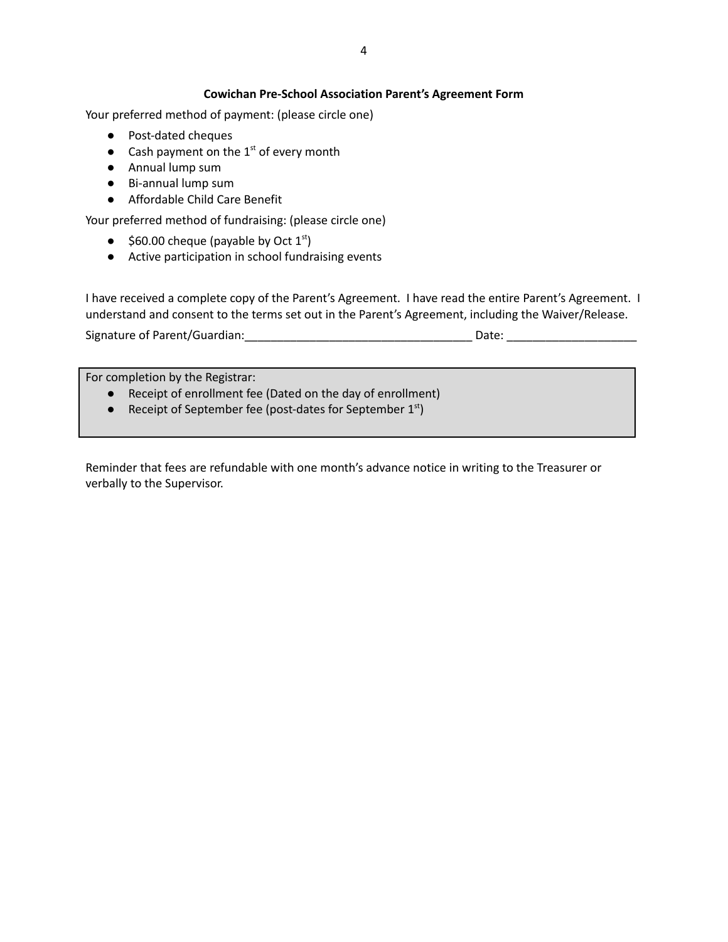## **Cowichan Pre-School Association Parent's Agreement Form**

Your preferred method of payment: (please circle one)

- Post-dated cheques
- Cash payment on the  $1<sup>st</sup>$  of every month
- Annual lump sum
- Bi-annual lump sum
- Affordable Child Care Benefit

Your preferred method of fundraising: (please circle one)

- $\bullet$  \$60.00 cheque (payable by Oct  $1^{st}$ )
- Active participation in school fundraising events

I have received a complete copy of the Parent's Agreement. I have read the entire Parent's Agreement. I understand and consent to the terms set out in the Parent's Agreement, including the Waiver/Release.

Signature of Parent/Guardian: example of the Date:

For completion by the Registrar:

- Receipt of enrollment fee (Dated on the day of enrollment)
- Receipt of September fee (post-dates for September  $1<sup>st</sup>$ )

Reminder that fees are refundable with one month's advance notice in writing to the Treasurer or verbally to the Supervisor.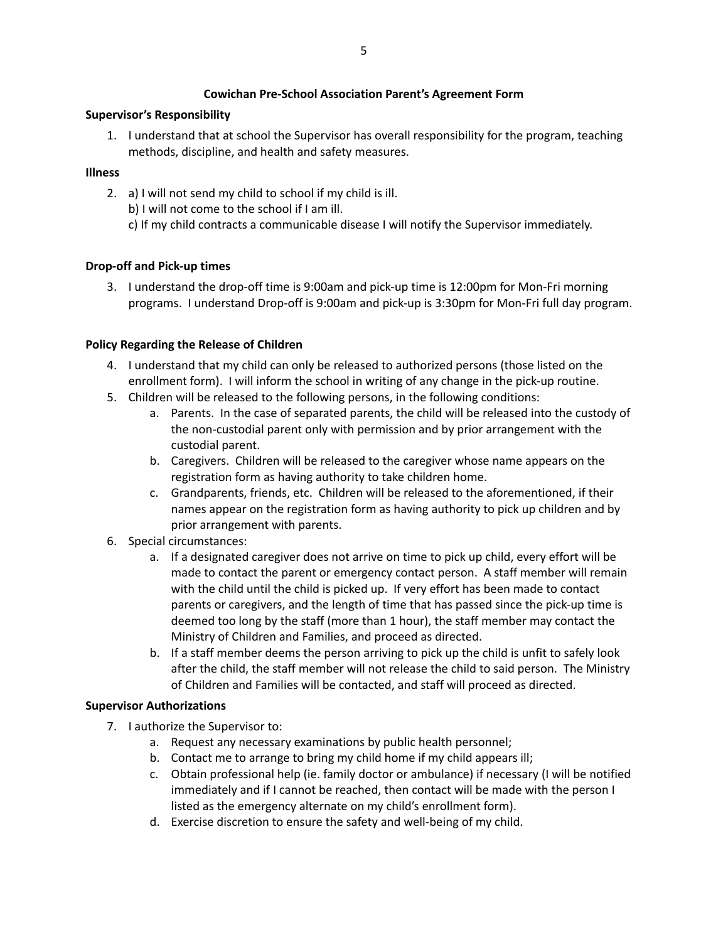## **Cowichan Pre-School Association Parent's Agreement Form**

# **Supervisor's Responsibility**

1. I understand that at school the Supervisor has overall responsibility for the program, teaching methods, discipline, and health and safety measures.

# **Illness**

2. a) I will not send my child to school if my child is ill.

b) I will not come to the school if I am ill.

c) If my child contracts a communicable disease I will notify the Supervisor immediately.

# **Drop-off and Pick-up times**

3. I understand the drop-off time is 9:00am and pick-up time is 12:00pm for Mon-Fri morning programs. I understand Drop-off is 9:00am and pick-up is 3:30pm for Mon-Fri full day program.

# **Policy Regarding the Release of Children**

- 4. I understand that my child can only be released to authorized persons (those listed on the enrollment form). I will inform the school in writing of any change in the pick-up routine.
- 5. Children will be released to the following persons, in the following conditions:
	- a. Parents. In the case of separated parents, the child will be released into the custody of the non-custodial parent only with permission and by prior arrangement with the custodial parent.
	- b. Caregivers. Children will be released to the caregiver whose name appears on the registration form as having authority to take children home.
	- c. Grandparents, friends, etc. Children will be released to the aforementioned, if their names appear on the registration form as having authority to pick up children and by prior arrangement with parents.
- 6. Special circumstances:
	- a. If a designated caregiver does not arrive on time to pick up child, every effort will be made to contact the parent or emergency contact person. A staff member will remain with the child until the child is picked up. If very effort has been made to contact parents or caregivers, and the length of time that has passed since the pick-up time is deemed too long by the staff (more than 1 hour), the staff member may contact the Ministry of Children and Families, and proceed as directed.
	- b. If a staff member deems the person arriving to pick up the child is unfit to safely look after the child, the staff member will not release the child to said person. The Ministry of Children and Families will be contacted, and staff will proceed as directed.

# **Supervisor Authorizations**

- 7. I authorize the Supervisor to:
	- a. Request any necessary examinations by public health personnel;
	- b. Contact me to arrange to bring my child home if my child appears ill;
	- c. Obtain professional help (ie. family doctor or ambulance) if necessary (I will be notified immediately and if I cannot be reached, then contact will be made with the person I listed as the emergency alternate on my child's enrollment form).
	- d. Exercise discretion to ensure the safety and well-being of my child.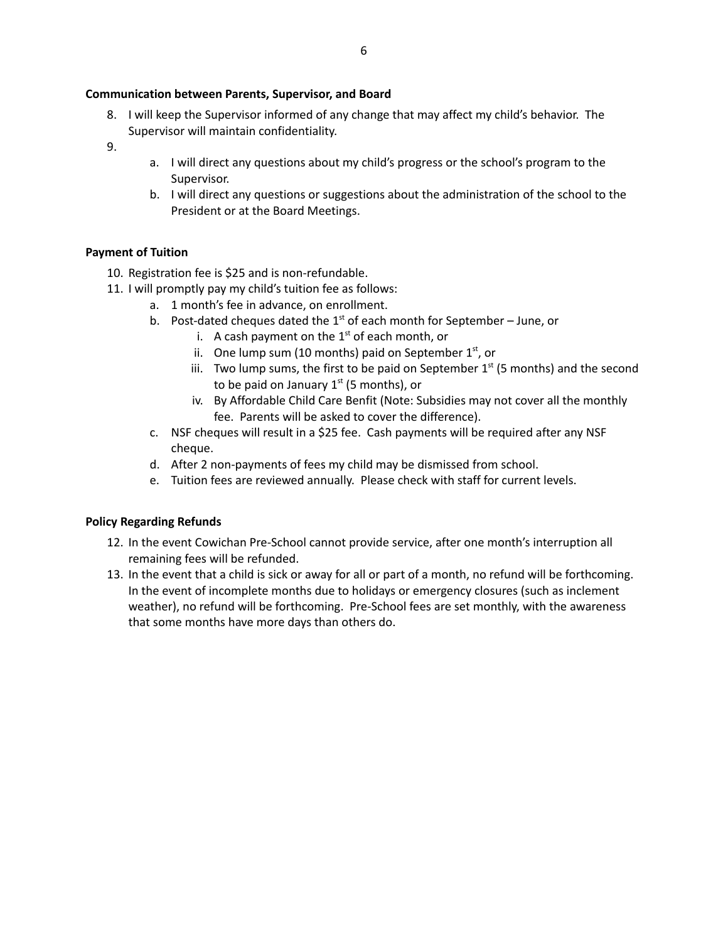### **Communication between Parents, Supervisor, and Board**

- 8. I will keep the Supervisor informed of any change that may affect my child's behavior. The Supervisor will maintain confidentiality.
- 9.
- a. I will direct any questions about my child's progress or the school's program to the Supervisor.
- b. I will direct any questions or suggestions about the administration of the school to the President or at the Board Meetings.

## **Payment of Tuition**

- 10. Registration fee is \$25 and is non-refundable.
- 11. I will promptly pay my child's tuition fee as follows:
	- a. 1 month's fee in advance, on enrollment.
		- b. Post-dated cheques dated the  $1<sup>st</sup>$  of each month for September June, or
			- i. A cash payment on the  $1<sup>st</sup>$  of each month, or
			- ii. One lump sum (10 months) paid on September  $1<sup>st</sup>$ , or
			- iii. Two lump sums, the first to be paid on September  $1<sup>st</sup>$  (5 months) and the second to be paid on January  $1<sup>st</sup>$  (5 months), or
			- iv. By Affordable Child Care Benfit (Note: Subsidies may not cover all the monthly fee. Parents will be asked to cover the difference).
	- c. NSF cheques will result in a \$25 fee. Cash payments will be required after any NSF cheque.
	- d. After 2 non-payments of fees my child may be dismissed from school.
	- e. Tuition fees are reviewed annually. Please check with staff for current levels.

## **Policy Regarding Refunds**

- 12. In the event Cowichan Pre-School cannot provide service, after one month's interruption all remaining fees will be refunded.
- 13. In the event that a child is sick or away for all or part of a month, no refund will be forthcoming. In the event of incomplete months due to holidays or emergency closures (such as inclement weather), no refund will be forthcoming. Pre-School fees are set monthly, with the awareness that some months have more days than others do.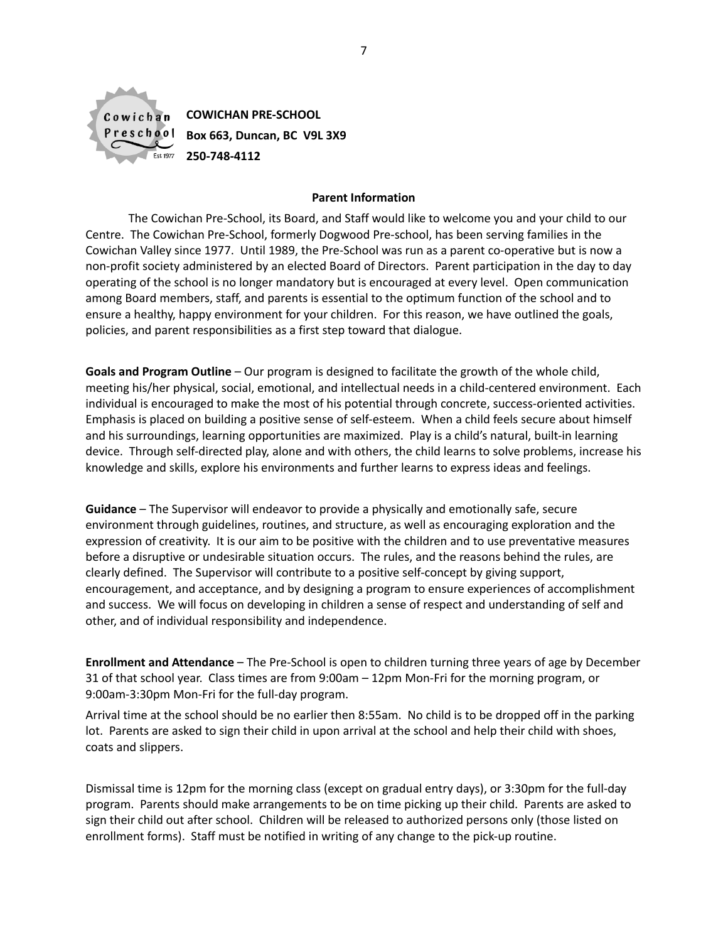

**COWICHAN PRE-SCHOOL Box 663, Duncan, BC V9L 3X9 250-748-4112**

### **Parent Information**

The Cowichan Pre-School, its Board, and Staff would like to welcome you and your child to our Centre. The Cowichan Pre-School, formerly Dogwood Pre-school, has been serving families in the Cowichan Valley since 1977. Until 1989, the Pre-School was run as a parent co-operative but is now a non-profit society administered by an elected Board of Directors. Parent participation in the day to day operating of the school is no longer mandatory but is encouraged at every level. Open communication among Board members, staff, and parents is essential to the optimum function of the school and to ensure a healthy, happy environment for your children. For this reason, we have outlined the goals, policies, and parent responsibilities as a first step toward that dialogue.

**Goals and Program Outline** – Our program is designed to facilitate the growth of the whole child, meeting his/her physical, social, emotional, and intellectual needs in a child-centered environment. Each individual is encouraged to make the most of his potential through concrete, success-oriented activities. Emphasis is placed on building a positive sense of self-esteem. When a child feels secure about himself and his surroundings, learning opportunities are maximized. Play is a child's natural, built-in learning device. Through self-directed play, alone and with others, the child learns to solve problems, increase his knowledge and skills, explore his environments and further learns to express ideas and feelings.

**Guidance** – The Supervisor will endeavor to provide a physically and emotionally safe, secure environment through guidelines, routines, and structure, as well as encouraging exploration and the expression of creativity. It is our aim to be positive with the children and to use preventative measures before a disruptive or undesirable situation occurs. The rules, and the reasons behind the rules, are clearly defined. The Supervisor will contribute to a positive self-concept by giving support, encouragement, and acceptance, and by designing a program to ensure experiences of accomplishment and success. We will focus on developing in children a sense of respect and understanding of self and other, and of individual responsibility and independence.

**Enrollment and Attendance** – The Pre-School is open to children turning three years of age by December 31 of that school year. Class times are from 9:00am – 12pm Mon-Fri for the morning program, or 9:00am-3:30pm Mon-Fri for the full-day program.

Arrival time at the school should be no earlier then 8:55am. No child is to be dropped off in the parking lot. Parents are asked to sign their child in upon arrival at the school and help their child with shoes, coats and slippers.

Dismissal time is 12pm for the morning class (except on gradual entry days), or 3:30pm for the full-day program. Parents should make arrangements to be on time picking up their child. Parents are asked to sign their child out after school. Children will be released to authorized persons only (those listed on enrollment forms). Staff must be notified in writing of any change to the pick-up routine.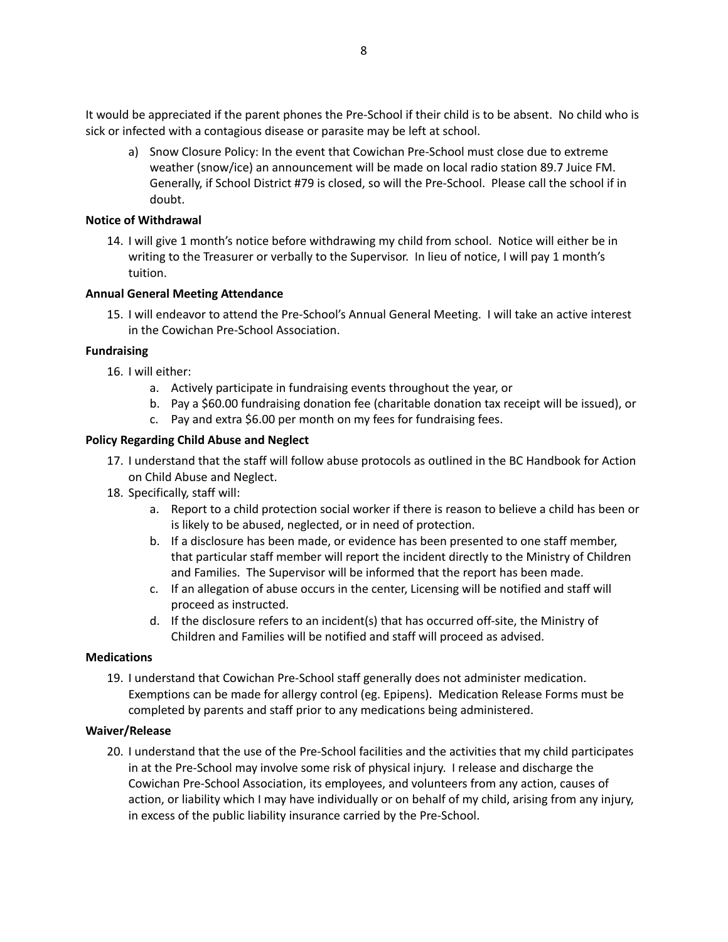It would be appreciated if the parent phones the Pre-School if their child is to be absent. No child who is sick or infected with a contagious disease or parasite may be left at school.

a) Snow Closure Policy: In the event that Cowichan Pre-School must close due to extreme weather (snow/ice) an announcement will be made on local radio station 89.7 Juice FM. Generally, if School District #79 is closed, so will the Pre-School. Please call the school if in doubt.

### **Notice of Withdrawal**

14. I will give 1 month's notice before withdrawing my child from school. Notice will either be in writing to the Treasurer or verbally to the Supervisor. In lieu of notice, I will pay 1 month's tuition.

### **Annual General Meeting Attendance**

15. I will endeavor to attend the Pre-School's Annual General Meeting. I will take an active interest in the Cowichan Pre-School Association.

### **Fundraising**

- 16. I will either:
	- a. Actively participate in fundraising events throughout the year, or
	- b. Pay a \$60.00 fundraising donation fee (charitable donation tax receipt will be issued), or
	- c. Pay and extra \$6.00 per month on my fees for fundraising fees.

### **Policy Regarding Child Abuse and Neglect**

- 17. I understand that the staff will follow abuse protocols as outlined in the BC Handbook for Action on Child Abuse and Neglect.
- 18. Specifically, staff will:
	- a. Report to a child protection social worker if there is reason to believe a child has been or is likely to be abused, neglected, or in need of protection.
	- b. If a disclosure has been made, or evidence has been presented to one staff member, that particular staff member will report the incident directly to the Ministry of Children and Families. The Supervisor will be informed that the report has been made.
	- c. If an allegation of abuse occurs in the center, Licensing will be notified and staff will proceed as instructed.
	- d. If the disclosure refers to an incident(s) that has occurred off-site, the Ministry of Children and Families will be notified and staff will proceed as advised.

#### **Medications**

19. I understand that Cowichan Pre-School staff generally does not administer medication. Exemptions can be made for allergy control (eg. Epipens). Medication Release Forms must be completed by parents and staff prior to any medications being administered.

#### **Waiver/Release**

20. I understand that the use of the Pre-School facilities and the activities that my child participates in at the Pre-School may involve some risk of physical injury. I release and discharge the Cowichan Pre-School Association, its employees, and volunteers from any action, causes of action, or liability which I may have individually or on behalf of my child, arising from any injury, in excess of the public liability insurance carried by the Pre-School.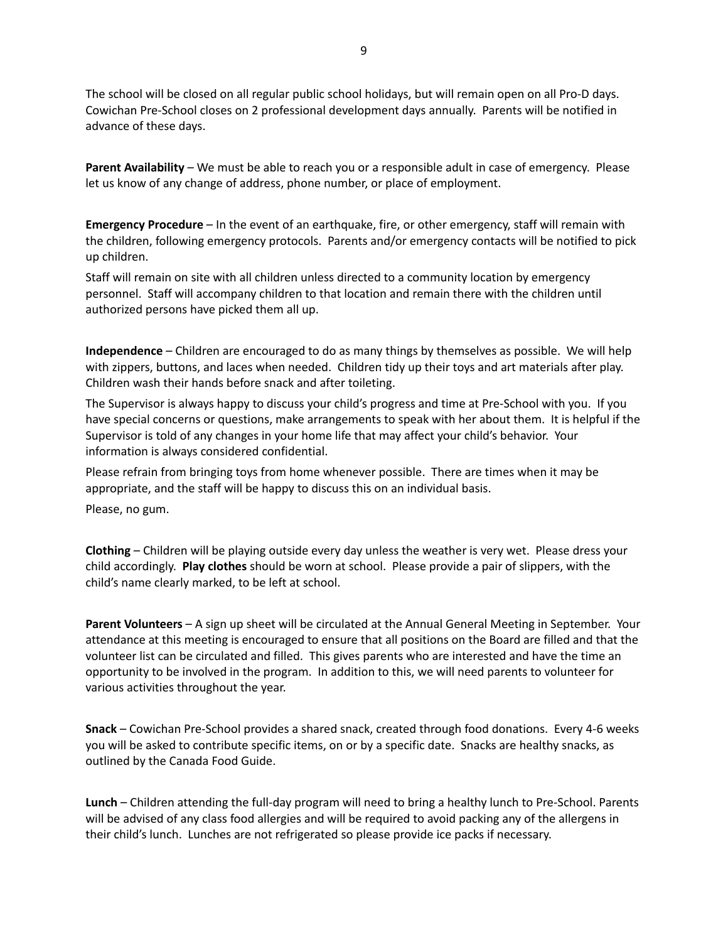The school will be closed on all regular public school holidays, but will remain open on all Pro-D days. Cowichan Pre-School closes on 2 professional development days annually. Parents will be notified in advance of these days.

**Parent Availability** – We must be able to reach you or a responsible adult in case of emergency. Please let us know of any change of address, phone number, or place of employment.

**Emergency Procedure** – In the event of an earthquake, fire, or other emergency, staff will remain with the children, following emergency protocols. Parents and/or emergency contacts will be notified to pick up children.

Staff will remain on site with all children unless directed to a community location by emergency personnel. Staff will accompany children to that location and remain there with the children until authorized persons have picked them all up.

**Independence** – Children are encouraged to do as many things by themselves as possible. We will help with zippers, buttons, and laces when needed. Children tidy up their toys and art materials after play. Children wash their hands before snack and after toileting.

The Supervisor is always happy to discuss your child's progress and time at Pre-School with you. If you have special concerns or questions, make arrangements to speak with her about them. It is helpful if the Supervisor is told of any changes in your home life that may affect your child's behavior. Your information is always considered confidential.

Please refrain from bringing toys from home whenever possible. There are times when it may be appropriate, and the staff will be happy to discuss this on an individual basis.

Please, no gum.

**Clothing** – Children will be playing outside every day unless the weather is very wet. Please dress your child accordingly. **Play clothes** should be worn at school. Please provide a pair of slippers, with the child's name clearly marked, to be left at school.

**Parent Volunteers** – A sign up sheet will be circulated at the Annual General Meeting in September. Your attendance at this meeting is encouraged to ensure that all positions on the Board are filled and that the volunteer list can be circulated and filled. This gives parents who are interested and have the time an opportunity to be involved in the program. In addition to this, we will need parents to volunteer for various activities throughout the year.

**Snack** – Cowichan Pre-School provides a shared snack, created through food donations. Every 4-6 weeks you will be asked to contribute specific items, on or by a specific date. Snacks are healthy snacks, as outlined by the Canada Food Guide.

**Lunch** – Children attending the full-day program will need to bring a healthy lunch to Pre-School. Parents will be advised of any class food allergies and will be required to avoid packing any of the allergens in their child's lunch. Lunches are not refrigerated so please provide ice packs if necessary.